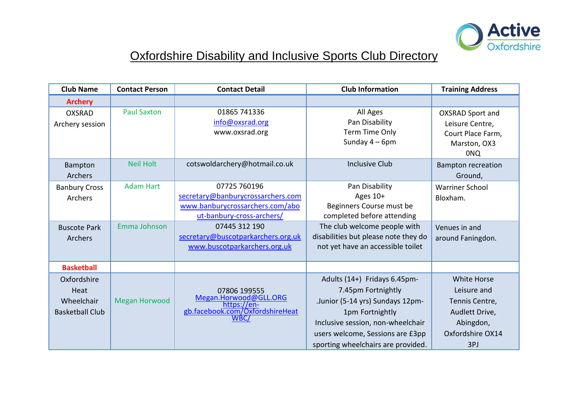

## Oxfordshire Disability and Inclusive Sports Club Directory

| <b>Club Name</b>                                            | <b>Contact Person</b> | <b>Contact Detail</b>                                                                                             | <b>Club Information</b>                                                                                                                                                                                                  | <b>Training Address</b>                                                                                       |
|-------------------------------------------------------------|-----------------------|-------------------------------------------------------------------------------------------------------------------|--------------------------------------------------------------------------------------------------------------------------------------------------------------------------------------------------------------------------|---------------------------------------------------------------------------------------------------------------|
| <b>Archery</b>                                              |                       |                                                                                                                   |                                                                                                                                                                                                                          |                                                                                                               |
| <b>OXSRAD</b><br>Archery session                            | <b>Paul Saxton</b>    | 01865 741336<br>info@oxsrad.org<br>www.oxsrad.org                                                                 | All Ages<br>Pan Disability<br>Term Time Only<br>Sunday $4-6$ pm                                                                                                                                                          | <b>OXSRAD Sport and</b><br>Leisure Centre,<br>Court Place Farm,<br>Marston, OX3<br><b>ONQ</b>                 |
| Bampton<br><b>Archers</b>                                   | <b>Neil Holt</b>      | cotswoldarchery@hotmail.co.uk                                                                                     | <b>Inclusive Club</b>                                                                                                                                                                                                    | <b>Bampton recreation</b><br>Ground,                                                                          |
| <b>Banbury Cross</b><br>Archers                             | <b>Adam Hart</b>      | 07725 760196<br>secretary@banburycrossarchers.com<br>www.banburycrossarchers.com/abo<br>ut-banbury-cross-archers/ | Pan Disability<br>Ages 10+<br>Beginners Course must be<br>completed before attending                                                                                                                                     | <b>Warriner School</b><br>Bloxham.                                                                            |
| <b>Buscote Park</b><br><b>Archers</b>                       | Emma Johnson          | 07445 312 190<br>secretary@buscotparkarchers.org.uk<br>www.buscotparkarchers.org.uk                               | The club welcome people with<br>disabilities but please note they do<br>not yet have an accessible toilet                                                                                                                | Venues in and<br>around Faningdon.                                                                            |
| <b>Basketball</b>                                           |                       |                                                                                                                   |                                                                                                                                                                                                                          |                                                                                                               |
| Oxfordshire<br>Heat<br>Wheelchair<br><b>Basketball Club</b> | <b>Megan Horwood</b>  | 07806 199555<br>Megan.Horwood@GLL.ORG<br>https://en-<br>gb.facebook.com/OxfordshireHeat<br>WBC/                   | Adults (14+) Fridays 6.45pm-<br>7.45pm Fortnightly<br>.Junior (5-14 yrs) Sundays 12pm-<br>1pm Fortnightly<br>Inclusive session, non-wheelchair<br>users welcome, Sessions are £3pp<br>sporting wheelchairs are provided. | <b>White Horse</b><br>Leisure and<br>Tennis Centre,<br>Audlett Drive,<br>Abingdon,<br>Oxfordshire OX14<br>3PJ |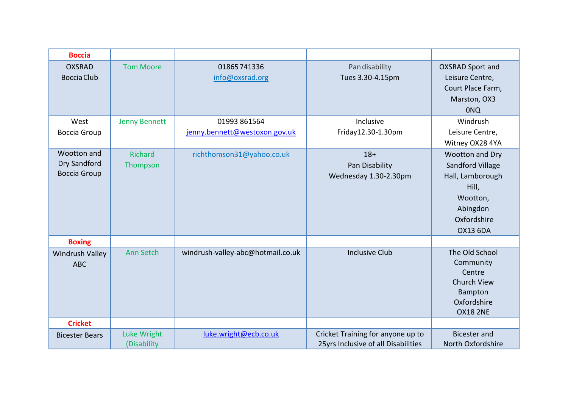| <b>Boccia</b>                                      |                                   |                                               |                                                                          |                                                                                                                                   |
|----------------------------------------------------|-----------------------------------|-----------------------------------------------|--------------------------------------------------------------------------|-----------------------------------------------------------------------------------------------------------------------------------|
| <b>OXSRAD</b><br><b>Boccia Club</b>                | <b>Tom Moore</b>                  | 01865741336<br>info@oxsrad.org                | Pan disability<br>Tues 3.30-4.15pm                                       | <b>OXSRAD Sport and</b><br>Leisure Centre,<br>Court Place Farm,<br>Marston, OX3<br><b>ONQ</b>                                     |
| West<br><b>Boccia Group</b>                        | <b>Jenny Bennett</b>              | 01993 861564<br>jenny.bennett@westoxon.gov.uk | Inclusive<br>Friday12.30-1.30pm                                          | Windrush<br>Leisure Centre,<br>Witney OX28 4YA                                                                                    |
| Wootton and<br>Dry Sandford<br><b>Boccia Group</b> | <b>Richard</b><br>Thompson        | richthomson31@yahoo.co.uk                     | $18+$<br>Pan Disability<br>Wednesday 1.30-2.30pm                         | Wootton and Dry<br><b>Sandford Village</b><br>Hall, Lamborough<br>Hill,<br>Wootton,<br>Abingdon<br>Oxfordshire<br><b>OX13 6DA</b> |
| <b>Boxing</b>                                      |                                   |                                               |                                                                          |                                                                                                                                   |
| <b>Windrush Valley</b><br><b>ABC</b>               | <b>Ann Setch</b>                  | windrush-valley-abc@hotmail.co.uk             | <b>Inclusive Club</b>                                                    | The Old School<br>Community<br>Centre<br><b>Church View</b><br>Bampton<br>Oxfordshire<br><b>OX18 2NE</b>                          |
| <b>Cricket</b>                                     |                                   |                                               |                                                                          |                                                                                                                                   |
| <b>Bicester Bears</b>                              | <b>Luke Wright</b><br>(Disability | luke.wright@ecb.co.uk                         | Cricket Training for anyone up to<br>25yrs Inclusive of all Disabilities | <b>Bicester and</b><br>North Oxfordshire                                                                                          |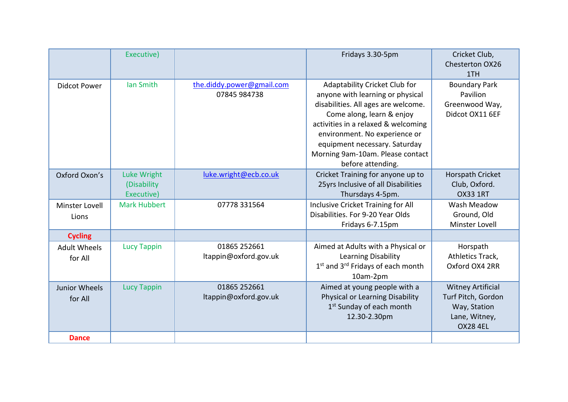|                      | Executive)          |                           | Fridays 3.30-5pm                                          | Cricket Club,<br>Chesterton OX26 |
|----------------------|---------------------|---------------------------|-----------------------------------------------------------|----------------------------------|
|                      |                     |                           |                                                           | 1TH                              |
| <b>Didcot Power</b>  | Ian Smith           | the.diddy.power@gmail.com | Adaptability Cricket Club for                             | <b>Boundary Park</b>             |
|                      |                     | 07845 984738              | anyone with learning or physical                          | Pavilion                         |
|                      |                     |                           | disabilities. All ages are welcome.                       | Greenwood Way,                   |
|                      |                     |                           | Come along, learn & enjoy                                 | Didcot OX11 6EF                  |
|                      |                     |                           | activities in a relaxed & welcoming                       |                                  |
|                      |                     |                           | environment. No experience or                             |                                  |
|                      |                     |                           | equipment necessary. Saturday                             |                                  |
|                      |                     |                           | Morning 9am-10am. Please contact                          |                                  |
|                      |                     |                           | before attending.                                         |                                  |
| Oxford Oxon's        | Luke Wright         | luke.wright@ecb.co.uk     | Cricket Training for anyone up to                         | Horspath Cricket                 |
|                      | (Disability)        |                           | 25yrs Inclusive of all Disabilities                       | Club, Oxford.                    |
|                      | Executive)          |                           | Thursdays 4-5pm.                                          | <b>OX33 1RT</b>                  |
| Minster Lovell       | <b>Mark Hubbert</b> | 07778 331564              | Inclusive Cricket Training for All                        | Wash Meadow                      |
| Lions                |                     |                           | Disabilities. For 9-20 Year Olds                          | Ground, Old                      |
|                      |                     |                           | Fridays 6-7.15pm                                          | Minster Lovell                   |
| <b>Cycling</b>       |                     |                           |                                                           |                                  |
| <b>Adult Wheels</b>  | <b>Lucy Tappin</b>  | 01865 252661              | Aimed at Adults with a Physical or                        | Horspath                         |
| for All              |                     | ltappin@oxford.gov.uk     | Learning Disability                                       | Athletics Track,                 |
|                      |                     |                           | 1 <sup>st</sup> and 3 <sup>rd</sup> Fridays of each month | Oxford OX4 2RR                   |
|                      |                     |                           | 10am-2pm                                                  |                                  |
| <b>Junior Wheels</b> | <b>Lucy Tappin</b>  | 01865 252661              | Aimed at young people with a                              | <b>Witney Artificial</b>         |
| for All              |                     | ltappin@oxford.gov.uk     | Physical or Learning Disability                           | Turf Pitch, Gordon               |
|                      |                     |                           | 1 <sup>st</sup> Sunday of each month                      | Way, Station                     |
|                      |                     |                           | 12.30-2.30pm                                              | Lane, Witney,                    |
|                      |                     |                           |                                                           | <b>OX28 4EL</b>                  |
| <b>Dance</b>         |                     |                           |                                                           |                                  |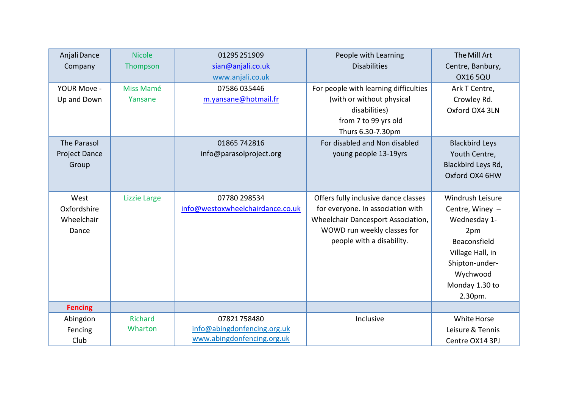| Anjali Dance<br>Company                      | <b>Nicole</b><br>Thompson | 01295 251909<br>sian@anjali.co.uk<br>www.anjali.co.uk                    | People with Learning<br><b>Disabilities</b>                                                                                                                                 | The Mill Art<br>Centre, Banbury,<br><b>OX16 5QU</b>                                                                                                       |
|----------------------------------------------|---------------------------|--------------------------------------------------------------------------|-----------------------------------------------------------------------------------------------------------------------------------------------------------------------------|-----------------------------------------------------------------------------------------------------------------------------------------------------------|
| YOUR Move -<br>Up and Down                   | Miss Mamé<br>Yansane      | 07586 035446<br>m.yansane@hotmail.fr                                     | For people with learning difficulties<br>(with or without physical<br>disabilities)<br>from 7 to 99 yrs old<br>Thurs 6.30-7.30pm                                            | Ark T Centre,<br>Crowley Rd.<br>Oxford OX4 3LN                                                                                                            |
| The Parasol<br><b>Project Dance</b><br>Group |                           | 01865 742816<br>info@parasolproject.org                                  | For disabled and Non disabled<br>young people 13-19yrs                                                                                                                      | <b>Blackbird Leys</b><br>Youth Centre,<br>Blackbird Leys Rd,<br>Oxford OX4 6HW                                                                            |
| West<br>Oxfordshire<br>Wheelchair<br>Dance   | <b>Lizzie Large</b>       | 07780 298534<br>info@westoxwheelchairdance.co.uk                         | Offers fully inclusive dance classes<br>for everyone. In association with<br>Wheelchair Dancesport Association,<br>WOWD run weekly classes for<br>people with a disability. | Windrush Leisure<br>Centre, Winey -<br>Wednesday 1-<br>2pm<br>Beaconsfield<br>Village Hall, in<br>Shipton-under-<br>Wychwood<br>Monday 1.30 to<br>2.30pm. |
| <b>Fencing</b>                               |                           |                                                                          |                                                                                                                                                                             |                                                                                                                                                           |
| Abingdon<br>Fencing<br>Club                  | <b>Richard</b><br>Wharton | 07821758480<br>info@abingdonfencing.org.uk<br>www.abingdonfencing.org.uk | Inclusive                                                                                                                                                                   | White Horse<br>Leisure & Tennis<br>Centre OX14 3PJ                                                                                                        |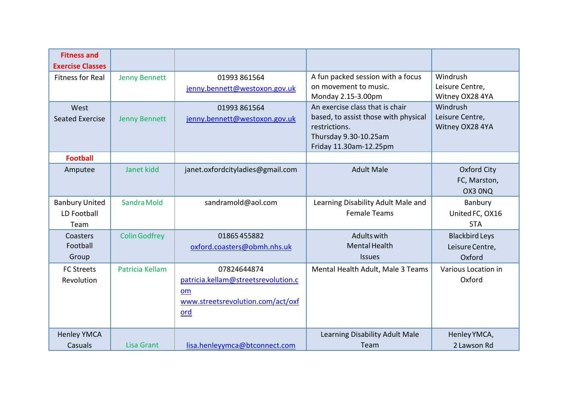| <b>Fitness and</b><br><b>Exercise Classes</b> |                      |                                                                                                             |                                                                                                                                             |                                                    |
|-----------------------------------------------|----------------------|-------------------------------------------------------------------------------------------------------------|---------------------------------------------------------------------------------------------------------------------------------------------|----------------------------------------------------|
| <b>Fitness for Real</b>                       | <b>Jenny Bennett</b> | 01993 861564<br>jenny.bennett@westoxon.gov.uk                                                               | A fun packed session with a focus<br>on movement to music.<br>Monday 2.15-3.00pm                                                            | Windrush<br>Leisure Centre,<br>Witney OX28 4YA     |
| West<br><b>Seated Exercise</b>                | <b>Jenny Bennett</b> | 01993 861564<br>jenny.bennett@westoxon.gov.uk                                                               | An exercise class that is chair<br>based, to assist those with physical<br>restrictions.<br>Thursday 9.30-10.25am<br>Friday 11.30am-12.25pm | Windrush<br>Leisure Centre,<br>Witney OX28 4YA     |
| <b>Football</b>                               |                      |                                                                                                             |                                                                                                                                             |                                                    |
| Amputee                                       | Janet kidd           | janet.oxfordcityladies@gmail.com                                                                            | <b>Adult Male</b>                                                                                                                           | Oxford City<br>FC, Marston,<br>OX3 ONQ             |
| <b>Banbury United</b><br>LD Football<br>Team  | Sandra Mold          | sandramold@aol.com                                                                                          | Learning Disability Adult Male and<br><b>Female Teams</b>                                                                                   | Banbury<br>United FC, OX16<br>5TA                  |
| Coasters<br>Football<br>Group                 | <b>Colin Godfrey</b> | 01865455882<br>oxford.coasters@obmh.nhs.uk                                                                  | Adults with<br>Mental Health<br><b>Issues</b>                                                                                               | <b>Blackbird Leys</b><br>Leisure Centre,<br>Oxford |
| <b>FC Streets</b><br>Revolution               | Patricia Kellam      | 07824644874<br>patricia.kellam@streetsrevolution.c<br>om<br>www.streetsrevolution.com/act/oxf<br><u>ord</u> | Mental Health Adult, Male 3 Teams                                                                                                           | Various Location in<br>Oxford                      |
| <b>Henley YMCA</b><br>Casuals                 | Lisa Grant           | lisa.henleyymca@btconnect.com                                                                               | Learning Disability Adult Male<br>Team                                                                                                      | Henley YMCA,<br>2 Lawson Rd                        |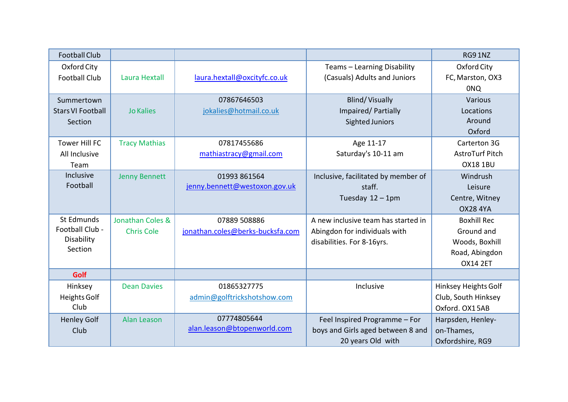| <b>Football Club</b>                |                      |                                  |                                                             | RG91NZ                          |
|-------------------------------------|----------------------|----------------------------------|-------------------------------------------------------------|---------------------------------|
| Oxford City<br><b>Football Club</b> | Laura Hextall        | laura.hextall@oxcityfc.co.uk     | Teams - Learning Disability<br>(Casuals) Adults and Juniors | Oxford City<br>FC, Marston, OX3 |
|                                     |                      |                                  |                                                             | <b>ONQ</b>                      |
| Summertown                          |                      | 07867646503                      | <b>Blind/Visually</b>                                       | Various                         |
| <b>Stars VI Football</b>            | <b>Jo Kalies</b>     | jokalies@hotmail.co.uk           | Impaired/Partially                                          | Locations                       |
| Section                             |                      |                                  | Sighted Juniors                                             | Around                          |
|                                     |                      |                                  |                                                             | Oxford                          |
| <b>Tower Hill FC</b>                | <b>Tracy Mathias</b> | 07817455686                      | Age 11-17                                                   | Carterton 3G                    |
| All Inclusive                       |                      | mathiastracy@gmail.com           | Saturday's 10-11 am                                         | AstroTurf Pitch                 |
| Team                                |                      |                                  |                                                             | <b>OX18 1BU</b>                 |
| Inclusive                           | <b>Jenny Bennett</b> | 01993 861564                     | Inclusive, facilitated by member of                         | Windrush                        |
| Football                            |                      | jenny.bennett@westoxon.gov.uk    | staff.                                                      | Leisure                         |
|                                     |                      |                                  | Tuesday $12 - 1$ pm                                         | Centre, Witney                  |
|                                     |                      |                                  |                                                             | <b>OX28 4YA</b>                 |
| St Edmunds                          | Jonathan Coles &     | 07889 508886                     | A new inclusive team has started in                         | <b>Boxhill Rec</b>              |
| Football Club -                     | <b>Chris Cole</b>    | jonathan.coles@berks-bucksfa.com | Abingdon for individuals with                               | Ground and                      |
| Disability<br>Section               |                      |                                  | disabilities. For 8-16yrs.                                  | Woods, Boxhill                  |
|                                     |                      |                                  |                                                             | Road, Abingdon                  |
|                                     |                      |                                  |                                                             | <b>OX14 2ET</b>                 |
| Golf                                |                      |                                  |                                                             |                                 |
| Hinksey                             | <b>Dean Davies</b>   | 01865327775                      | Inclusive                                                   | Hinksey Heights Golf            |
| Heights Golf                        |                      | admin@golftrickshotshow.com      |                                                             | Club, South Hinksey             |
| Club                                |                      |                                  |                                                             | Oxford, OX15AB                  |
| <b>Henley Golf</b>                  | <b>Alan Leason</b>   | 07774805644                      | Feel Inspired Programme - For                               | Harpsden, Henley-               |
| Club                                |                      | alan.leason@btopenworld.com      | boys and Girls aged between 8 and                           | on-Thames,                      |
|                                     |                      |                                  | 20 years Old with                                           | Oxfordshire, RG9                |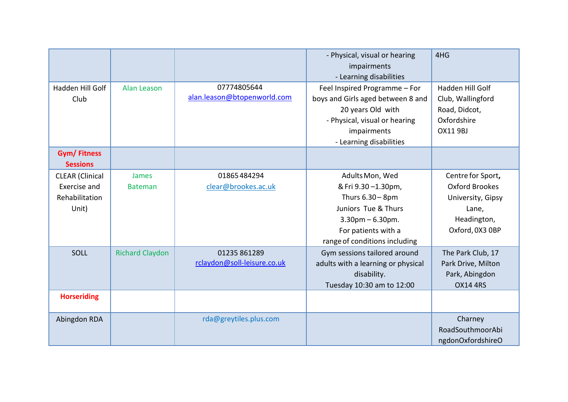|                                       |                        |                             | - Physical, visual or hearing<br>impairments | 4HG                |
|---------------------------------------|------------------------|-----------------------------|----------------------------------------------|--------------------|
|                                       |                        |                             | - Learning disabilities                      |                    |
| Hadden Hill Golf                      | Alan Leason            | 07774805644                 | Feel Inspired Programme - For                | Hadden Hill Golf   |
| Club                                  |                        | alan.leason@btopenworld.com | boys and Girls aged between 8 and            | Club, Wallingford  |
|                                       |                        |                             | 20 years Old with                            | Road, Didcot,      |
|                                       |                        |                             | - Physical, visual or hearing                | Oxfordshire        |
|                                       |                        |                             | impairments                                  | <b>OX11 9BJ</b>    |
|                                       |                        |                             | - Learning disabilities                      |                    |
| <b>Gym/Fitness</b><br><b>Sessions</b> |                        |                             |                                              |                    |
| <b>CLEAR</b> (Clinical                | James                  | 01865484294                 | Adults Mon, Wed                              | Centre for Sport,  |
| Exercise and                          | <b>Bateman</b>         | clear@brookes.ac.uk         | & Fri 9.30 -1.30pm,                          | Oxford Brookes     |
| Rehabilitation                        |                        |                             | Thurs 6.30 - 8pm                             | University, Gipsy  |
| Unit)                                 |                        |                             | Juniors Tue & Thurs                          | Lane,              |
|                                       |                        |                             | $3.30$ pm – 6.30pm.                          | Headington,        |
|                                       |                        |                             | For patients with a                          | Oxford, 0X3 OBP    |
|                                       |                        |                             | range of conditions including                |                    |
| SOLL                                  | <b>Richard Claydon</b> | 01235 861289                | Gym sessions tailored around                 | The Park Club, 17  |
|                                       |                        | rclaydon@soll-leisure.co.uk | adults with a learning or physical           | Park Drive, Milton |
|                                       |                        |                             | disability.                                  | Park, Abingdon     |
|                                       |                        |                             | Tuesday 10:30 am to 12:00                    | <b>OX14 4RS</b>    |
| <b>Horseriding</b>                    |                        |                             |                                              |                    |
| Abingdon RDA                          |                        | rda@greytiles.plus.com      |                                              | Charney            |
|                                       |                        |                             |                                              | RoadSouthmoorAbi   |
|                                       |                        |                             |                                              | ngdonOxfordshireO  |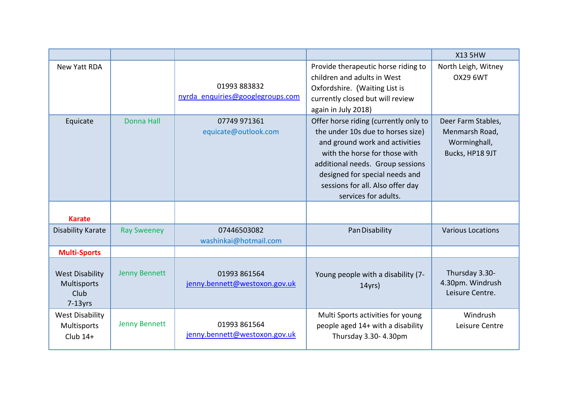|                                                             |                      |                                                  |                                                                                                                                                                                                                                                                                 | <b>X13 5HW</b>                                                          |
|-------------------------------------------------------------|----------------------|--------------------------------------------------|---------------------------------------------------------------------------------------------------------------------------------------------------------------------------------------------------------------------------------------------------------------------------------|-------------------------------------------------------------------------|
| New Yatt RDA                                                |                      | 01993 883832<br>nyrda enquiries@googlegroups.com | Provide therapeutic horse riding to<br>children and adults in West<br>Oxfordshire. (Waiting List is<br>currently closed but will review<br>again in July 2018)                                                                                                                  | North Leigh, Witney<br><b>OX29 6WT</b>                                  |
| Equicate                                                    | <b>Donna Hall</b>    | 07749 971361<br>equicate@outlook.com             | Offer horse riding (currently only to<br>the under 10s due to horses size)<br>and ground work and activities<br>with the horse for those with<br>additional needs. Group sessions<br>designed for special needs and<br>sessions for all. Also offer day<br>services for adults. | Deer Farm Stables,<br>Menmarsh Road,<br>Worminghall,<br>Bucks, HP18 9JT |
| <b>Karate</b>                                               |                      |                                                  |                                                                                                                                                                                                                                                                                 |                                                                         |
| <b>Disability Karate</b>                                    | <b>Ray Sweeney</b>   | 07446503082<br>washinkai@hotmail.com             | Pan Disability                                                                                                                                                                                                                                                                  | <b>Various Locations</b>                                                |
| <b>Multi-Sports</b>                                         |                      |                                                  |                                                                                                                                                                                                                                                                                 |                                                                         |
| <b>West Disability</b><br>Multisports<br>Club<br>$7-13$ yrs | <b>Jenny Bennett</b> | 01993 861564<br>jenny.bennett@westoxon.gov.uk    | Young people with a disability (7-<br>$14$ yrs)                                                                                                                                                                                                                                 | Thursday 3.30-<br>4.30pm. Windrush<br>Leisure Centre.                   |
| <b>West Disability</b><br>Multisports<br>$Club$ 14+         | <b>Jenny Bennett</b> | 01993 861564<br>jenny.bennett@westoxon.gov.uk    | Multi Sports activities for young<br>people aged 14+ with a disability<br>Thursday 3.30-4.30pm                                                                                                                                                                                  | Windrush<br>Leisure Centre                                              |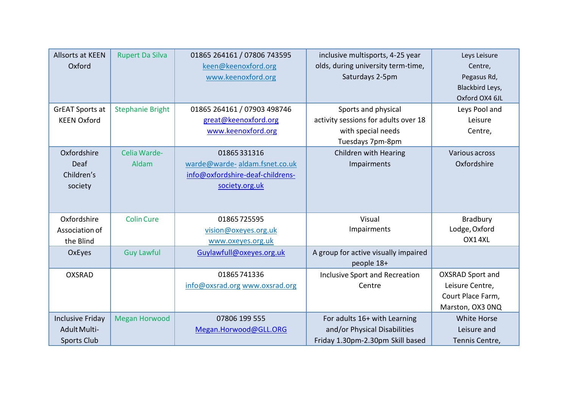| <b>Allsorts at KEEN</b><br>Oxford<br><b>GrEAT Sports at</b><br><b>KEEN Oxford</b> | <b>Rupert Da Silva</b><br><b>Stephanie Bright</b> | 01865 264161 / 07806 743595<br>keen@keenoxford.org<br>www.keenoxford.org<br>01865 264161 / 07903 498746<br>great@keenoxford.org | inclusive multisports, 4-25 year<br>olds, during university term-time,<br>Saturdays 2-5pm<br>Sports and physical<br>activity sessions for adults over 18 | Leys Leisure<br>Centre,<br>Pegasus Rd,<br>Blackbird Leys,<br>Oxford OX4 6JL<br>Leys Pool and<br>Leisure |
|-----------------------------------------------------------------------------------|---------------------------------------------------|---------------------------------------------------------------------------------------------------------------------------------|----------------------------------------------------------------------------------------------------------------------------------------------------------|---------------------------------------------------------------------------------------------------------|
|                                                                                   |                                                   | www.keenoxford.org                                                                                                              | with special needs<br>Tuesdays 7pm-8pm                                                                                                                   | Centre,                                                                                                 |
| Oxfordshire<br>Deaf<br>Children's<br>society                                      | Celia Warde-<br>Aldam                             | 01865331316<br>warde@warde-aldam.fsnet.co.uk<br>info@oxfordshire-deaf-childrens-<br>society.org.uk                              | Children with Hearing<br>Impairments                                                                                                                     | Various across<br>Oxfordshire                                                                           |
| Oxfordshire<br>Association of<br>the Blind                                        | <b>Colin Cure</b>                                 | 01865725595<br>vision@oxeyes.org.uk<br>www.oxeyes.org.uk                                                                        | Visual<br>Impairments                                                                                                                                    | <b>Bradbury</b><br>Lodge, Oxford<br>OX14XL                                                              |
| OxEyes                                                                            | <b>Guy Lawful</b>                                 | Guylawfull@oxeyes.org.uk                                                                                                        | A group for active visually impaired<br>people 18+                                                                                                       |                                                                                                         |
| <b>OXSRAD</b>                                                                     |                                                   | 01865741336<br>info@oxsrad.org www.oxsrad.org                                                                                   | Inclusive Sport and Recreation<br>Centre                                                                                                                 | <b>OXSRAD Sport and</b><br>Leisure Centre,<br>Court Place Farm,<br>Marston, OX3 ONQ                     |
| <b>Inclusive Friday</b><br>Adult Multi-<br><b>Sports Club</b>                     | <b>Megan Horwood</b>                              | 07806 199 555<br>Megan.Horwood@GLL.ORG                                                                                          | For adults 16+ with Learning<br>and/or Physical Disabilities<br>Friday 1.30pm-2.30pm Skill based                                                         | <b>White Horse</b><br>Leisure and<br>Tennis Centre,                                                     |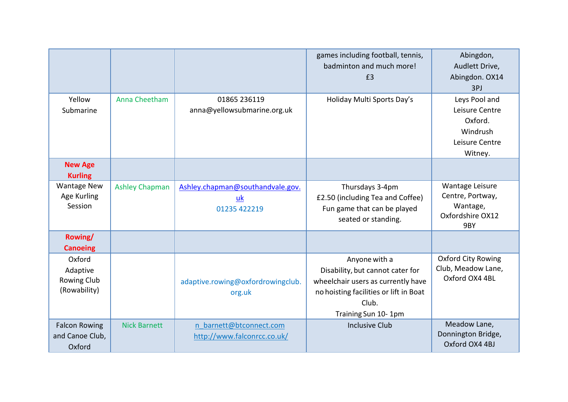|                                                   |                       |                                                        | games including football, tennis,<br>badminton and much more!<br>£3                                                                                               | Abingdon,<br>Audlett Drive,<br>Abingdon. OX14<br>3PJ                                |
|---------------------------------------------------|-----------------------|--------------------------------------------------------|-------------------------------------------------------------------------------------------------------------------------------------------------------------------|-------------------------------------------------------------------------------------|
| Yellow<br>Submarine                               | Anna Cheetham         | 01865 236119<br>anna@yellowsubmarine.org.uk            | Holiday Multi Sports Day's                                                                                                                                        | Leys Pool and<br>Leisure Centre<br>Oxford.<br>Windrush<br>Leisure Centre<br>Witney. |
| <b>New Age</b><br><b>Kurling</b>                  |                       |                                                        |                                                                                                                                                                   |                                                                                     |
| <b>Wantage New</b><br>Age Kurling<br>Session      | <b>Ashley Chapman</b> | Ashley.chapman@southandvale.gov.<br>uk<br>01235 422219 | Thursdays 3-4pm<br>£2.50 (including Tea and Coffee)<br>Fun game that can be played<br>seated or standing.                                                         | Wantage Leisure<br>Centre, Portway,<br>Wantage,<br>Oxfordshire OX12<br>9BY          |
| Rowing/<br><b>Canoeing</b>                        |                       |                                                        |                                                                                                                                                                   |                                                                                     |
| Oxford<br>Adaptive<br>Rowing Club<br>(Rowability) |                       | adaptive.rowing@oxfordrowingclub.<br>org.uk            | Anyone with a<br>Disability, but cannot cater for<br>wheelchair users as currently have<br>no hoisting facilities or lift in Boat<br>Club.<br>Training Sun 10-1pm | <b>Oxford City Rowing</b><br>Club, Meadow Lane,<br>Oxford OX4 4BL                   |
| <b>Falcon Rowing</b><br>and Canoe Club,<br>Oxford | <b>Nick Barnett</b>   | n barnett@btconnect.com<br>http://www.falconrcc.co.uk/ | <b>Inclusive Club</b>                                                                                                                                             | Meadow Lane,<br>Donnington Bridge,<br>Oxford OX4 4BJ                                |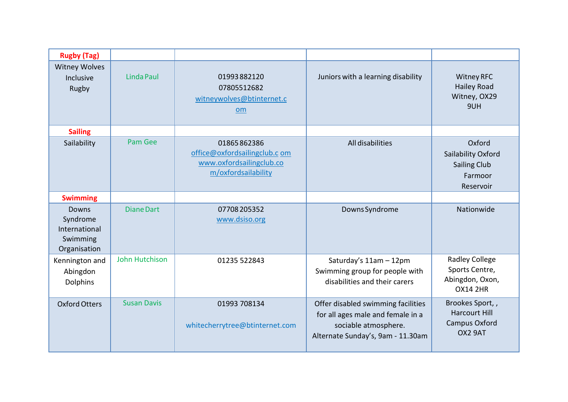| <b>Rugby (Tag)</b>                                                    |                    |                                                                                                 |                                                                                                                                      |                                                                               |
|-----------------------------------------------------------------------|--------------------|-------------------------------------------------------------------------------------------------|--------------------------------------------------------------------------------------------------------------------------------------|-------------------------------------------------------------------------------|
| <b>Witney Wolves</b><br>Inclusive<br>Rugby                            | <b>Linda Paul</b>  | 01993882120<br>07805512682<br>witneywolves@btinternet.c<br><b>om</b>                            | Juniors with a learning disability                                                                                                   | <b>Witney RFC</b><br><b>Hailey Road</b><br>Witney, OX29<br>9UH                |
| <b>Sailing</b>                                                        |                    |                                                                                                 |                                                                                                                                      |                                                                               |
| Sailability                                                           | <b>Pam Gee</b>     | 01865862386<br>office@oxfordsailingclub.c om<br>www.oxfordsailingclub.co<br>m/oxfordsailability | All disabilities                                                                                                                     | Oxford<br>Sailability Oxford<br><b>Sailing Club</b><br>Farmoor<br>Reservoir   |
| <b>Swimming</b>                                                       |                    |                                                                                                 |                                                                                                                                      |                                                                               |
| <b>Downs</b><br>Syndrome<br>International<br>Swimming<br>Organisation | <b>Diane Dart</b>  | 07708205352<br>www.dsiso.org                                                                    | Downs Syndrome                                                                                                                       | Nationwide                                                                    |
| Kennington and<br>Abingdon<br>Dolphins                                | John Hutchison     | 01235 522843                                                                                    | Saturday's 11am - 12pm<br>Swimming group for people with<br>disabilities and their carers                                            | <b>Radley College</b><br>Sports Centre,<br>Abingdon, Oxon,<br><b>OX14 2HR</b> |
| <b>Oxford Otters</b>                                                  | <b>Susan Davis</b> | 01993 708134<br>whitecherrytree@btinternet.com                                                  | Offer disabled swimming facilities<br>for all ages male and female in a<br>sociable atmosphere.<br>Alternate Sunday's, 9am - 11.30am | Brookes Sport,,<br><b>Harcourt Hill</b><br>Campus Oxford<br>OX2 9AT           |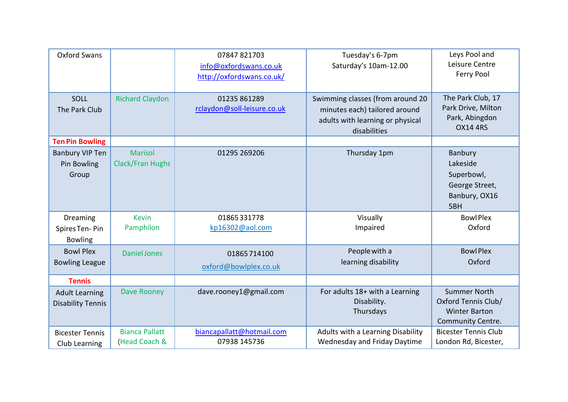| <b>Oxford Swans</b>                               |                                           | 07847 821703<br>info@oxfordswans.co.uk<br>http://oxfordswans.co.uk/ | Tuesday's 6-7pm<br>Saturday's 10am-12.00                                                                              | Leys Pool and<br>Leisure Centre<br>Ferry Pool                                           |
|---------------------------------------------------|-------------------------------------------|---------------------------------------------------------------------|-----------------------------------------------------------------------------------------------------------------------|-----------------------------------------------------------------------------------------|
| SOLL<br>The Park Club                             | <b>Richard Claydon</b>                    | 01235 861289<br>rclaydon@soll-leisure.co.uk                         | Swimming classes (from around 20<br>minutes each) tailored around<br>adults with learning or physical<br>disabilities | The Park Club, 17<br>Park Drive, Milton<br>Park, Abingdon<br><b>OX14 4RS</b>            |
| <b>Ten Pin Bowling</b>                            |                                           |                                                                     |                                                                                                                       |                                                                                         |
| <b>Banbury VIP Ten</b><br>Pin Bowling<br>Group    | <b>Marisol</b><br><b>Clack/Fran Hughs</b> | 01295 269206                                                        | Thursday 1pm                                                                                                          | Banbury<br>Lakeside<br>Superbowl,<br>George Street,<br>Banbury, OX16<br>5BH             |
| Dreaming<br>Spires Ten-Pin<br><b>Bowling</b>      | <b>Kevin</b><br>Pamphilon                 | 01865331778<br>kp16302@aol.com                                      | Visually<br>Impaired                                                                                                  | <b>BowlPlex</b><br>Oxford                                                               |
| <b>Bowl Plex</b><br><b>Bowling League</b>         | <b>Daniel Jones</b>                       | 01865714100<br>oxford@bowlplex.co.uk                                | People with a<br>learning disability                                                                                  | <b>Bowl Plex</b><br>Oxford                                                              |
| <b>Tennis</b>                                     |                                           |                                                                     |                                                                                                                       |                                                                                         |
| <b>Adult Learning</b><br><b>Disability Tennis</b> | <b>Dave Rooney</b>                        | dave.rooney1@gmail.com                                              | For adults 18+ with a Learning<br>Disability.<br>Thursdays                                                            | <b>Summer North</b><br>Oxford Tennis Club/<br><b>Winter Barton</b><br>Community Centre. |
| <b>Bicester Tennis</b><br>Club Learning           | <b>Bianca Pallatt</b><br>(Head Coach &    | biancapallatt@hotmail.com<br>07938 145736                           | Adults with a Learning Disability<br>Wednesday and Friday Daytime                                                     | <b>Bicester Tennis Club</b><br>London Rd, Bicester,                                     |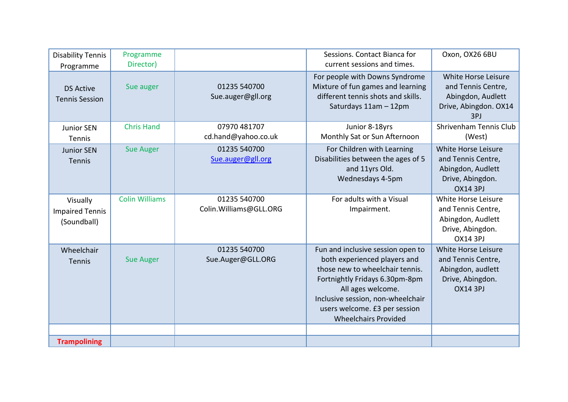| <b>Disability Tennis</b><br>Programme             | Programme<br>Director) |                                         | Sessions. Contact Bianca for<br>current sessions and times.                                                                                                                                                                                                      | Oxon, OX26 6BU                                                                                        |
|---------------------------------------------------|------------------------|-----------------------------------------|------------------------------------------------------------------------------------------------------------------------------------------------------------------------------------------------------------------------------------------------------------------|-------------------------------------------------------------------------------------------------------|
| <b>DS Active</b><br><b>Tennis Session</b>         | Sue auger              | 01235 540700<br>Sue.auger@gll.org       | For people with Downs Syndrome<br>Mixture of fun games and learning<br>different tennis shots and skills.<br>Saturdays 11am - 12pm                                                                                                                               | White Horse Leisure<br>and Tennis Centre,<br>Abingdon, Audlett<br>Drive, Abingdon. OX14<br>3PJ        |
| <b>Junior SEN</b><br>Tennis                       | <b>Chris Hand</b>      | 07970 481707<br>cd.hand@yahoo.co.uk     | Junior 8-18yrs<br>Monthly Sat or Sun Afternoon                                                                                                                                                                                                                   | Shrivenham Tennis Club<br>(West)                                                                      |
| <b>Junior SEN</b><br><b>Tennis</b>                | <b>Sue Auger</b>       | 01235 540700<br>Sue.auger@gll.org       | For Children with Learning<br>Disabilities between the ages of 5<br>and 11yrs Old.<br>Wednesdays 4-5pm                                                                                                                                                           | White Horse Leisure<br>and Tennis Centre,<br>Abingdon, Audlett<br>Drive, Abingdon.<br><b>OX14 3PJ</b> |
| Visually<br><b>Impaired Tennis</b><br>(Soundball) | <b>Colin Williams</b>  | 01235 540700<br>Colin. Williams@GLL.ORG | For adults with a Visual<br>Impairment.                                                                                                                                                                                                                          | White Horse Leisure<br>and Tennis Centre,<br>Abingdon, Audlett<br>Drive, Abingdon.<br><b>OX14 3PJ</b> |
| Wheelchair<br>Tennis                              | <b>Sue Auger</b>       | 01235 540700<br>Sue.Auger@GLL.ORG       | Fun and inclusive session open to<br>both experienced players and<br>those new to wheelchair tennis.<br>Fortnightly Fridays 6.30pm-8pm<br>All ages welcome.<br>Inclusive session, non-wheelchair<br>users welcome. £3 per session<br><b>Wheelchairs Provided</b> | White Horse Leisure<br>and Tennis Centre,<br>Abingdon, audlett<br>Drive, Abingdon.<br><b>OX14 3PJ</b> |
| <b>Trampolining</b>                               |                        |                                         |                                                                                                                                                                                                                                                                  |                                                                                                       |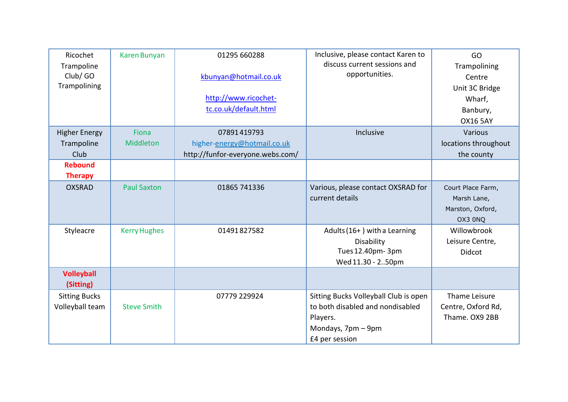| Ricochet<br>Trampoline<br>Club/ GO<br>Trampolining | Karen Bunyan        | 01295 660288<br>kbunyan@hotmail.co.uk<br>http://www.ricochet-<br>tc.co.uk/default.html | Inclusive, please contact Karen to<br>discuss current sessions and<br>opportunities.                                          | GO<br>Trampolining<br>Centre<br>Unit 3C Bridge<br>Wharf,<br>Banbury,<br><b>OX16 5AY</b> |
|----------------------------------------------------|---------------------|----------------------------------------------------------------------------------------|-------------------------------------------------------------------------------------------------------------------------------|-----------------------------------------------------------------------------------------|
| <b>Higher Energy</b>                               | Fiona               | 07891419793                                                                            | Inclusive                                                                                                                     | Various                                                                                 |
| Trampoline                                         | Middleton           | higher-energy@hotmail.co.uk                                                            |                                                                                                                               | locations throughout                                                                    |
| Club<br><b>Rebound</b>                             |                     | http://funfor-everyone.webs.com/                                                       |                                                                                                                               | the county                                                                              |
| <b>Therapy</b>                                     |                     |                                                                                        |                                                                                                                               |                                                                                         |
| <b>OXSRAD</b>                                      | <b>Paul Saxton</b>  | 01865 741336                                                                           | Various, please contact OXSRAD for<br>current details                                                                         | Court Place Farm,<br>Marsh Lane,<br>Marston, Oxford,<br>OX3 0NQ                         |
| Styleacre                                          | <b>Kerry Hughes</b> | 01491827582                                                                            | Adults (16+) with a Learning<br>Disability<br>Tues 12.40pm- 3pm<br>Wed 11.30 - 250pm                                          | Willowbrook<br>Leisure Centre,<br>Didcot                                                |
| <b>Volleyball</b><br>(Sitting)                     |                     |                                                                                        |                                                                                                                               |                                                                                         |
| <b>Sitting Bucks</b><br>Volleyball team            | <b>Steve Smith</b>  | 07779 229924                                                                           | Sitting Bucks Volleyball Club is open<br>to both disabled and nondisabled<br>Players.<br>Mondays, 7pm - 9pm<br>£4 per session | Thame Leisure<br>Centre, Oxford Rd,<br>Thame. OX9 2BB                                   |